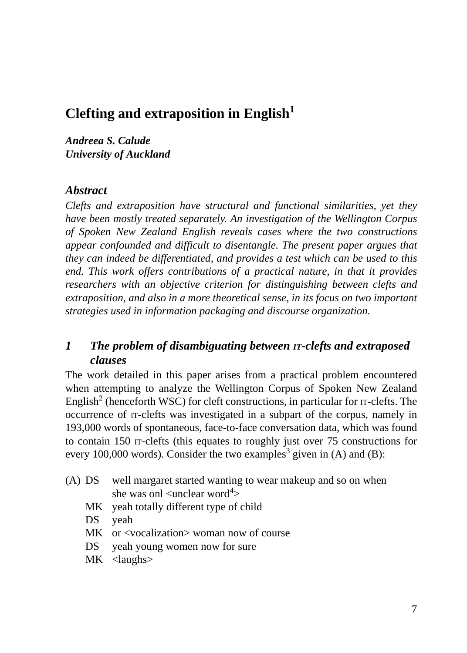# **Clefting and extraposition in English<sup>1</sup>**

*Andreea S. Calude University of Auckland*

#### *Abstract*

*Clefts and extraposition have structural and functional similarities, yet they have been mostly treated separately. An investigation of the Wellington Corpus of Spoken New Zealand English reveals cases where the two constructions appear confounded and difficult to disentangle. The present paper argues that they can indeed be differentiated, and provides a test which can be used to this end. This work offers contributions of a practical nature, in that it provides researchers with an objective criterion for distinguishing between clefts and extraposition, and also in a more theoretical sense, in its focus on two important strategies used in information packaging and discourse organization.*

## *1 The problem of disambiguating between IT-clefts and extraposed clauses*

The work detailed in this paper arises from a practical problem encountered when attempting to analyze the Wellington Corpus of Spoken New Zealand English<sup>2</sup> (henceforth WSC) for cleft constructions, in particular for  $\pi$ -clefts. The occurrence of IT-clefts was investigated in a subpart of the corpus, namely in 193,000 words of spontaneous, face-to-face conversation data, which was found to contain 150 IT-clefts (this equates to roughly just over 75 constructions for every 100,000 words). Consider the two examples<sup>3</sup> given in (A) and (B):

- (A) DS well margaret started wanting to wear makeup and so on when she was onl  $\langle$ unclear word<sup>4</sup> $>$ 
	- MK yeah totally different type of child
	- DS yeah
	- MK or <vocalization> woman now of course
	- DS yeah young women now for sure
	- MK <laughs>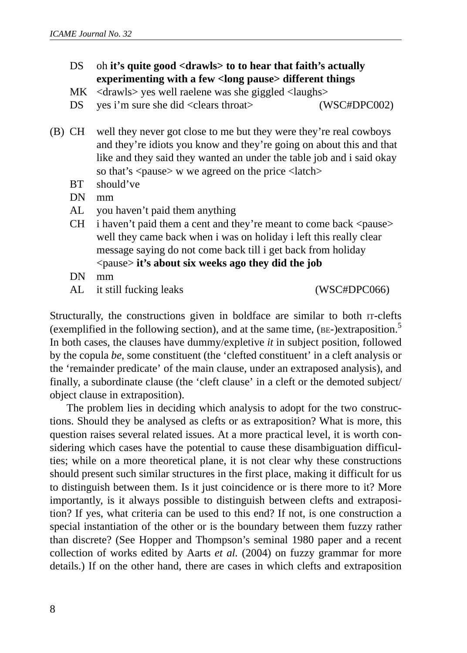## DS oh **it's quite good <drawls> to to hear that faith's actually experimenting with a few <long pause> different things**

MK  $\langle$  drawls $\rangle$  yes well raelene was she giggled  $\langle$ laughs $\rangle$ 

DS yes i'm sure she did <clears throat> (WSC#DPC002)

- (B) CH well they never got close to me but they were they're real cowboys and they're idiots you know and they're going on about this and that like and they said they wanted an under the table job and i said okay so that's  $\langle$  pause $\rangle$  w we agreed on the price  $\langle$  latch $\rangle$ 
	- BT should've
	- DN mm
	- AL you haven't paid them anything
	- CH i haven't paid them a cent and they're meant to come back  $\langle$  pause $\rangle$ well they came back when i was on holiday i left this really clear message saying do not come back till i get back from holiday <pause> **it's about six weeks ago they did the job**
	- DN mm
	- AL it still fucking leaks (WSC#DPC066)

Structurally, the constructions given in boldface are similar to both IT-clefts (exemplified in the following section), and at the same time,  $(BE-)$ extraposition.<sup>5</sup> In both cases, the clauses have dummy/expletive *it* in subject position, followed by the copula *be*, some constituent (the 'clefted constituent' in a cleft analysis or the 'remainder predicate' of the main clause, under an extraposed analysis), and finally, a subordinate clause (the 'cleft clause' in a cleft or the demoted subject/ object clause in extraposition).

The problem lies in deciding which analysis to adopt for the two constructions. Should they be analysed as clefts or as extraposition? What is more, this question raises several related issues. At a more practical level, it is worth considering which cases have the potential to cause these disambiguation difficulties; while on a more theoretical plane, it is not clear why these constructions should present such similar structures in the first place, making it difficult for us to distinguish between them. Is it just coincidence or is there more to it? More importantly, is it always possible to distinguish between clefts and extraposition? If yes, what criteria can be used to this end? If not, is one construction a special instantiation of the other or is the boundary between them fuzzy rather than discrete? (See Hopper and Thompson's seminal 1980 paper and a recent collection of works edited by Aarts *et al.* (2004) on fuzzy grammar for more details.) If on the other hand, there are cases in which clefts and extraposition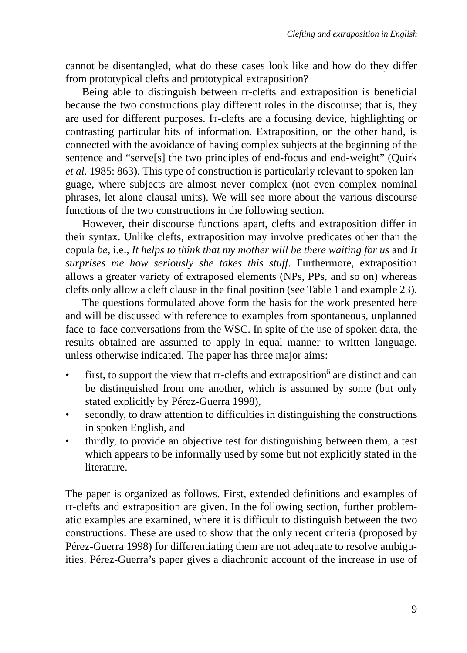cannot be disentangled, what do these cases look like and how do they differ from prototypical clefts and prototypical extraposition?

Being able to distinguish between IT-clefts and extraposition is beneficial because the two constructions play different roles in the discourse; that is, they are used for different purposes. IT-clefts are a focusing device, highlighting or contrasting particular bits of information. Extraposition, on the other hand, is connected with the avoidance of having complex subjects at the beginning of the sentence and "serve[s] the two principles of end-focus and end-weight" (Quirk *et al.* 1985: 863). This type of construction is particularly relevant to spoken language, where subjects are almost never complex (not even complex nominal phrases, let alone clausal units). We will see more about the various discourse functions of the two constructions in the following section.

However, their discourse functions apart, clefts and extraposition differ in their syntax. Unlike clefts, extraposition may involve predicates other than the copula *be*, i.e., *It helps to think that my mother will be there waiting for us* and *It surprises me how seriously she takes this stuff*. Furthermore, extraposition allows a greater variety of extraposed elements (NPs, PPs, and so on) whereas clefts only allow a cleft clause in the final position (see Table 1 and example 23).

The questions formulated above form the basis for the work presented here and will be discussed with reference to examples from spontaneous, unplanned face-to-face conversations from the WSC. In spite of the use of spoken data, the results obtained are assumed to apply in equal manner to written language, unless otherwise indicated. The paper has three major aims:

- $\bullet$  first, to support the view that  $\text{tr-cleft}$  and extraposition<sup>6</sup> are distinct and can be distinguished from one another, which is assumed by some (but only stated explicitly by Pérez-Guerra 1998),
- secondly, to draw attention to difficulties in distinguishing the constructions in spoken English, and
- thirdly, to provide an objective test for distinguishing between them, a test which appears to be informally used by some but not explicitly stated in the literature.

The paper is organized as follows. First, extended definitions and examples of IT-clefts and extraposition are given. In the following section, further problematic examples are examined, where it is difficult to distinguish between the two constructions. These are used to show that the only recent criteria (proposed by Pérez-Guerra 1998) for differentiating them are not adequate to resolve ambiguities. Pérez-Guerra's paper gives a diachronic account of the increase in use of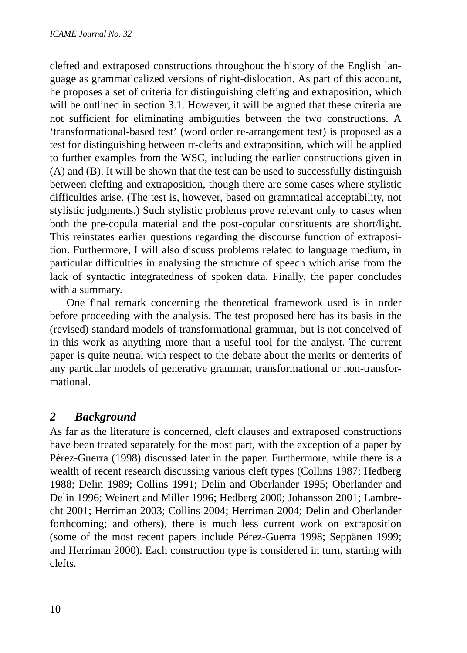clefted and extraposed constructions throughout the history of the English language as grammaticalized versions of right-dislocation. As part of this account, he proposes a set of criteria for distinguishing clefting and extraposition, which will be outlined in section 3.1. However, it will be argued that these criteria are not sufficient for eliminating ambiguities between the two constructions. A 'transformational-based test' (word order re-arrangement test) is proposed as a test for distinguishing between IT-clefts and extraposition, which will be applied to further examples from the WSC, including the earlier constructions given in (A) and (B). It will be shown that the test can be used to successfully distinguish between clefting and extraposition, though there are some cases where stylistic difficulties arise. (The test is, however, based on grammatical acceptability, not stylistic judgments.) Such stylistic problems prove relevant only to cases when both the pre-copula material and the post-copular constituents are short/light. This reinstates earlier questions regarding the discourse function of extraposition. Furthermore, I will also discuss problems related to language medium, in particular difficulties in analysing the structure of speech which arise from the lack of syntactic integratedness of spoken data. Finally, the paper concludes with a summary.

One final remark concerning the theoretical framework used is in order before proceeding with the analysis. The test proposed here has its basis in the (revised) standard models of transformational grammar, but is not conceived of in this work as anything more than a useful tool for the analyst. The current paper is quite neutral with respect to the debate about the merits or demerits of any particular models of generative grammar, transformational or non-transformational.

## *2 Background*

As far as the literature is concerned, cleft clauses and extraposed constructions have been treated separately for the most part, with the exception of a paper by Pérez-Guerra (1998) discussed later in the paper. Furthermore, while there is a wealth of recent research discussing various cleft types (Collins 1987; Hedberg 1988; Delin 1989; Collins 1991; Delin and Oberlander 1995; Oberlander and Delin 1996; Weinert and Miller 1996; Hedberg 2000; Johansson 2001; Lambrecht 2001; Herriman 2003; Collins 2004; Herriman 2004; Delin and Oberlander forthcoming; and others), there is much less current work on extraposition (some of the most recent papers include Pérez-Guerra 1998; Seppänen 1999; and Herriman 2000). Each construction type is considered in turn, starting with clefts.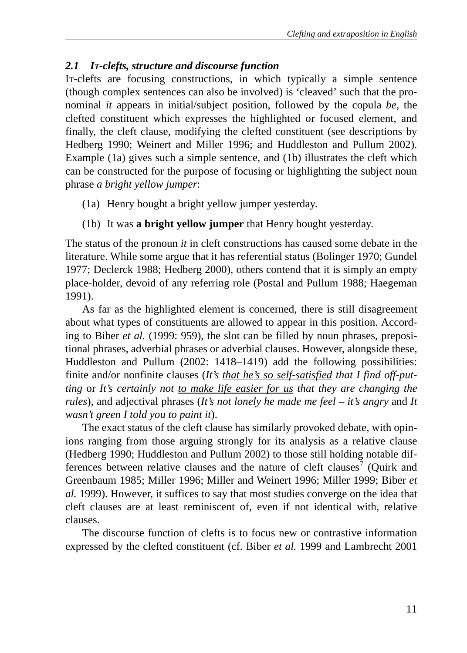## *2.1 IT-clefts, structure and discourse function*

IT-clefts are focusing constructions, in which typically a simple sentence (though complex sentences can also be involved) is 'cleaved' such that the pronominal *it* appears in initial/subject position, followed by the copula *be,* the clefted constituent which expresses the highlighted or focused element, and finally, the cleft clause, modifying the clefted constituent (see descriptions by Hedberg 1990; Weinert and Miller 1996; and Huddleston and Pullum 2002). Example (1a) gives such a simple sentence, and (1b) illustrates the cleft which can be constructed for the purpose of focusing or highlighting the subject noun phrase *a bright yellow jumper*:

- (1a) Henry bought a bright yellow jumper yesterday.
- (1b) It was **a bright yellow jumper** that Henry bought yesterday.

The status of the pronoun *it* in cleft constructions has caused some debate in the literature. While some argue that it has referential status (Bolinger 1970; Gundel 1977; Declerck 1988; Hedberg 2000), others contend that it is simply an empty place-holder, devoid of any referring role (Postal and Pullum 1988; Haegeman 1991).

As far as the highlighted element is concerned, there is still disagreement about what types of constituents are allowed to appear in this position. According to Biber *et al.* (1999: 959), the slot can be filled by noun phrases, prepositional phrases, adverbial phrases or adverbial clauses. However, alongside these, Huddleston and Pullum (2002: 1418–1419) add the following possibilities: finite and/or nonfinite clauses (*It's that he's so self-satisfied that I find off-putting* or *It's certainly not to make life easier for us that they are changing the rules*), and adjectival phrases (*It's not lonely he made me feel – it's angry* and *It wasn't green I told you to paint it*).

The exact status of the cleft clause has similarly provoked debate, with opinions ranging from those arguing strongly for its analysis as a relative clause (Hedberg 1990; Huddleston and Pullum 2002) to those still holding notable differences between relative clauses and the nature of cleft clauses<sup>7</sup> (Quirk and Greenbaum 1985; Miller 1996; Miller and Weinert 1996; Miller 1999; Biber *et al.* 1999). However, it suffices to say that most studies converge on the idea that cleft clauses are at least reminiscent of, even if not identical with, relative clauses.

The discourse function of clefts is to focus new or contrastive information expressed by the clefted constituent (cf. Biber *et al.* 1999 and Lambrecht 2001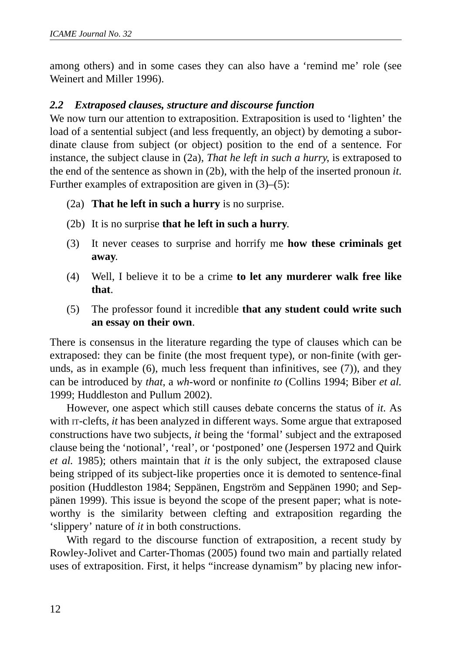among others) and in some cases they can also have a 'remind me' role (see Weinert and Miller 1996).

#### *2.2 Extraposed clauses, structure and discourse function*

We now turn our attention to extraposition. Extraposition is used to 'lighten' the load of a sentential subject (and less frequently, an object) by demoting a subordinate clause from subject (or object) position to the end of a sentence. For instance, the subject clause in (2a), *That he left in such a hurry*, is extraposed to the end of the sentence as shown in (2b), with the help of the inserted pronoun *it*. Further examples of extraposition are given in (3)–(5):

- (2a) **That he left in such a hurry** is no surprise.
- (2b) It is no surprise **that he left in such a hurry**.
- (3) It never ceases to surprise and horrify me **how these criminals get away**.
- (4) Well, I believe it to be a crime **to let any murderer walk free like that**.
- (5) The professor found it incredible **that any student could write such an essay on their own**.

There is consensus in the literature regarding the type of clauses which can be extraposed: they can be finite (the most frequent type), or non-finite (with gerunds, as in example (6), much less frequent than infinitives, see (7)), and they can be introduced by *that*, a *wh*-word or nonfinite *to* (Collins 1994; Biber *et al.* 1999; Huddleston and Pullum 2002).

However, one aspect which still causes debate concerns the status of *it*. As with IT-clefts, *it* has been analyzed in different ways. Some argue that extraposed constructions have two subjects, *it* being the 'formal' subject and the extraposed clause being the 'notional', 'real', or 'postponed' one (Jespersen 1972 and Quirk *et al.* 1985); others maintain that *it* is the only subject, the extraposed clause being stripped of its subject-like properties once it is demoted to sentence-final position (Huddleston 1984; Seppänen, Engström and Seppänen 1990; and Seppänen 1999). This issue is beyond the scope of the present paper; what is noteworthy is the similarity between clefting and extraposition regarding the 'slippery' nature of *it* in both constructions.

With regard to the discourse function of extraposition, a recent study by Rowley-Jolivet and Carter-Thomas (2005) found two main and partially related uses of extraposition. First, it helps "increase dynamism" by placing new infor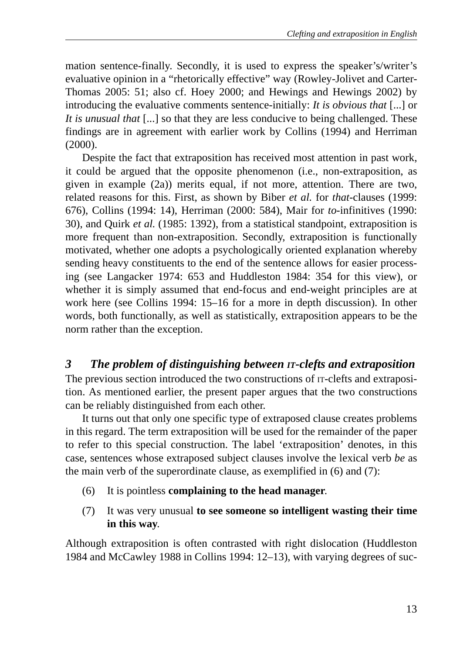mation sentence-finally. Secondly, it is used to express the speaker's/writer's evaluative opinion in a "rhetorically effective" way (Rowley-Jolivet and Carter-Thomas 2005: 51; also cf. Hoey 2000; and Hewings and Hewings 2002) by introducing the evaluative comments sentence-initially: *It is obvious that* [...] or *It is unusual that* [...] so that they are less conducive to being challenged. These findings are in agreement with earlier work by Collins (1994) and Herriman (2000).

Despite the fact that extraposition has received most attention in past work, it could be argued that the opposite phenomenon (i.e., non-extraposition, as given in example (2a)) merits equal, if not more, attention. There are two, related reasons for this. First, as shown by Biber *et al.* for *that*-clauses (1999: 676), Collins (1994: 14), Herriman (2000: 584), Mair for *to*-infinitives (1990: 30), and Quirk *et al.* (1985: 1392), from a statistical standpoint, extraposition is more frequent than non-extraposition. Secondly, extraposition is functionally motivated, whether one adopts a psychologically oriented explanation whereby sending heavy constituents to the end of the sentence allows for easier processing (see Langacker 1974: 653 and Huddleston 1984: 354 for this view), or whether it is simply assumed that end-focus and end-weight principles are at work here (see Collins 1994: 15–16 for a more in depth discussion). In other words, both functionally, as well as statistically, extraposition appears to be the norm rather than the exception.

## *3 The problem of distinguishing between IT-clefts and extraposition*

The previous section introduced the two constructions of  $\pi$ -clefts and extraposition. As mentioned earlier, the present paper argues that the two constructions can be reliably distinguished from each other.

It turns out that only one specific type of extraposed clause creates problems in this regard. The term extraposition will be used for the remainder of the paper to refer to this special construction. The label 'extraposition' denotes, in this case, sentences whose extraposed subject clauses involve the lexical verb *be* as the main verb of the superordinate clause, as exemplified in (6) and (7):

- (6) It is pointless **complaining to the head manager**.
- (7) It was very unusual **to see someone so intelligent wasting their time in this way**.

Although extraposition is often contrasted with right dislocation (Huddleston 1984 and McCawley 1988 in Collins 1994: 12–13), with varying degrees of suc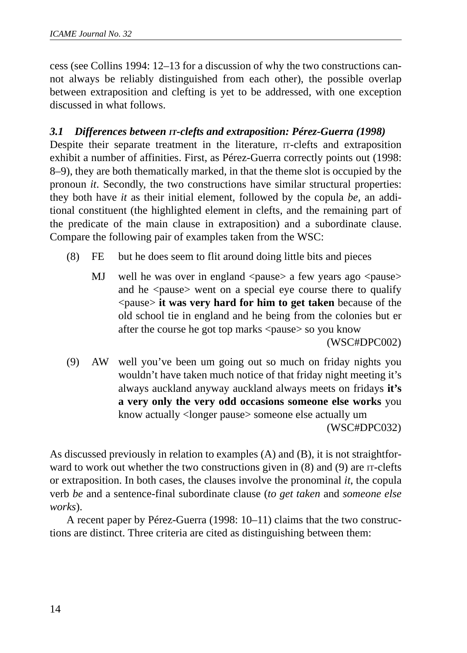cess (see Collins 1994: 12–13 for a discussion of why the two constructions cannot always be reliably distinguished from each other), the possible overlap between extraposition and clefting is yet to be addressed, with one exception discussed in what follows.

#### *3.1 Differences between IT-clefts and extraposition: Pérez-Guerra (1998)*

Despite their separate treatment in the literature, IT-clefts and extraposition exhibit a number of affinities. First, as Pérez-Guerra correctly points out (1998: 8–9), they are both thematically marked, in that the theme slot is occupied by the pronoun *it*. Secondly, the two constructions have similar structural properties: they both have *it* as their initial element, followed by the copula *be,* an additional constituent (the highlighted element in clefts, and the remaining part of the predicate of the main clause in extraposition) and a subordinate clause. Compare the following pair of examples taken from the WSC:

- (8) FE but he does seem to flit around doing little bits and pieces
	- MJ well he was over in england <pause> a few years ago <pause> and he <pause> went on a special eye course there to qualify <pause> **it was very hard for him to get taken** because of the old school tie in england and he being from the colonies but er after the course he got top marks <pause> so you know

(WSC#DPC002)

(9) AW well you've been um going out so much on friday nights you wouldn't have taken much notice of that friday night meeting it's always auckland anyway auckland always meets on fridays **it's a very only the very odd occasions someone else works** you know actually <longer pause> someone else actually um (WSC#DPC032)

As discussed previously in relation to examples (A) and (B), it is not straightforward to work out whether the two constructions given in  $(8)$  and  $(9)$  are  $\pi$ -clefts or extraposition. In both cases, the clauses involve the pronominal *it*, the copula verb *be* and a sentence-final subordinate clause (*to get taken* and *someone else works*).

A recent paper by Pérez-Guerra (1998: 10–11) claims that the two constructions are distinct. Three criteria are cited as distinguishing between them: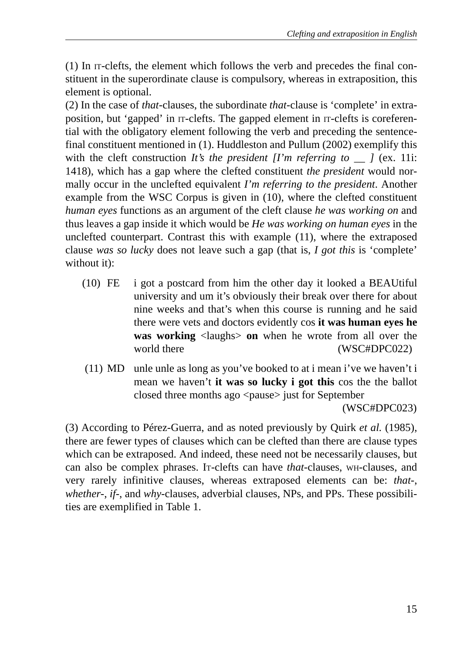(1) In IT-clefts, the element which follows the verb and precedes the final constituent in the superordinate clause is compulsory, whereas in extraposition, this element is optional.

(2) In the case of *that*-clauses, the subordinate *that*-clause is 'complete' in extraposition, but 'gapped' in IT-clefts. The gapped element in IT-clefts is coreferential with the obligatory element following the verb and preceding the sentencefinal constituent mentioned in (1). Huddleston and Pullum (2002) exemplify this with the cleft construction *It's the president*  $\prod m$  *referring to*  $\prod$  *(ex. 11i:* 1418), which has a gap where the clefted constituent *the president* would normally occur in the unclefted equivalent *I'm referring to the president*. Another example from the WSC Corpus is given in (10), where the clefted constituent *human eyes* functions as an argument of the cleft clause *he was working on* and thus leaves a gap inside it which would be *He was working on human eyes* in the unclefted counterpart. Contrast this with example (11), where the extraposed clause *was so lucky* does not leave such a gap (that is, *I got this* is 'complete' without it):

- (10) FE i got a postcard from him the other day it looked a BEAUtiful university and um it's obviously their break over there for about nine weeks and that's when this course is running and he said there were vets and doctors evidently cos **it was human eyes he was working** <laughs> **on** when he wrote from all over the world there (WSC#DPC022)
- (11) MD unle unle as long as you've booked to at i mean i've we haven't i mean we haven't **it was so lucky i got this** cos the the ballot closed three months ago <pause> just for September (WSC#DPC023)

(3) According to Pérez-Guerra, and as noted previously by Quirk *et al.* (1985), there are fewer types of clauses which can be clefted than there are clause types which can be extraposed. And indeed, these need not be necessarily clauses, but can also be complex phrases. IT-clefts can have *that*-clauses, WH-clauses, and very rarely infinitive clauses, whereas extraposed elements can be: *that*-, *whether*-, *if*-, and *why*-clauses, adverbial clauses, NPs, and PPs. These possibilities are exemplified in Table 1.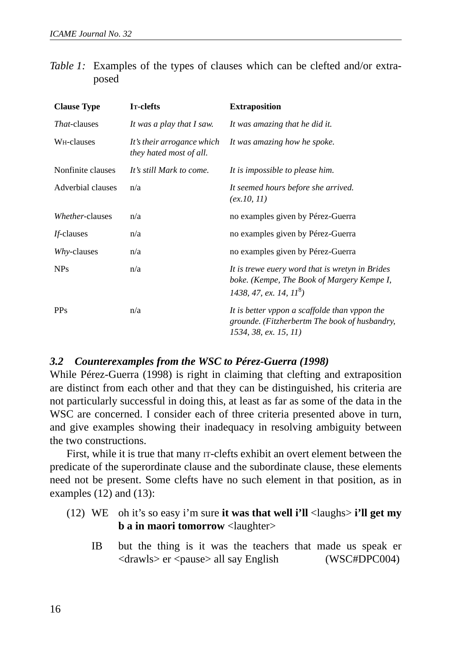| Table 1: Examples of the types of clauses which can be clefted and/or extra- |  |  |  |  |  |  |
|------------------------------------------------------------------------------|--|--|--|--|--|--|
| posed                                                                        |  |  |  |  |  |  |

| <b>Clause Type</b>      | I <sub>T</sub> -clefts                                | <b>Extraposition</b>                                                                                                       |  |  |  |
|-------------------------|-------------------------------------------------------|----------------------------------------------------------------------------------------------------------------------------|--|--|--|
| <i>That</i> -clauses    | It was a play that I saw.                             | It was amazing that he did it.                                                                                             |  |  |  |
| W <sub>H</sub> -clauses | It's their arrogance which<br>they hated most of all. | It was amazing how he spoke.                                                                                               |  |  |  |
| Nonfinite clauses       | It's still Mark to come.                              | It is impossible to please him.                                                                                            |  |  |  |
| Adverbial clauses       | n/a                                                   | It seemed hours before she arrived.<br>(ex.10, 11)                                                                         |  |  |  |
| Whether-clauses         | n/a                                                   | no examples given by Pérez-Guerra                                                                                          |  |  |  |
| <i>If-clauses</i>       | n/a                                                   | no examples given by Pérez-Guerra                                                                                          |  |  |  |
| Why-clauses             | n/a                                                   | no examples given by Pérez-Guerra                                                                                          |  |  |  |
| NP <sub>s</sub>         | n/a                                                   | It is trewe euery word that is wretyn in Brides<br>boke. (Kempe, The Book of Margery Kempe I,<br>1438, 47, ex. 14, $118$ ) |  |  |  |
| <b>PPs</b>              | n/a                                                   | It is better vppon a scaffolde than vppon the<br>grounde. (Fitzherbertm The book of husbandry,<br>1534, 38, ex. 15, 11)    |  |  |  |

#### *3.2 Counterexamples from the WSC to Pérez-Guerra (1998)*

While Pérez-Guerra (1998) is right in claiming that clefting and extraposition are distinct from each other and that they can be distinguished, his criteria are not particularly successful in doing this, at least as far as some of the data in the WSC are concerned. I consider each of three criteria presented above in turn, and give examples showing their inadequacy in resolving ambiguity between the two constructions.

First, while it is true that many IT-clefts exhibit an overt element between the predicate of the superordinate clause and the subordinate clause, these elements need not be present. Some clefts have no such element in that position, as in examples (12) and (13):

- (12) WE oh it's so easy i'm sure **it was that well i'll** <laughs> **i'll get my b a in maori tomorrow** <laughter>
	- IB but the thing is it was the teachers that made us speak er <drawls> er <pause> all say English (WSC#DPC004)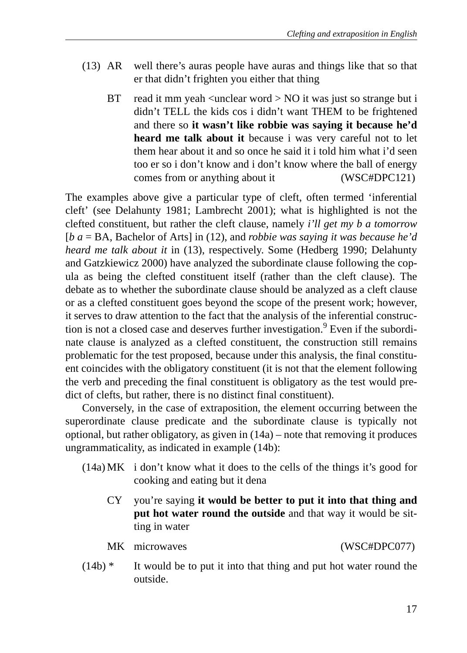- (13) AR well there's auras people have auras and things like that so that er that didn't frighten you either that thing
	- BT read it mm yeah  $\langle$ unclear word  $>$  NO it was just so strange but i didn't TELL the kids cos i didn't want THEM to be frightened and there so **it wasn't like robbie was saying it because he'd heard me talk about it** because i was very careful not to let them hear about it and so once he said it i told him what i'd seen too er so i don't know and i don't know where the ball of energy comes from or anything about it (WSC#DPC121)

The examples above give a particular type of cleft, often termed 'inferential cleft' (see Delahunty 1981; Lambrecht 2001); what is highlighted is not the clefted constituent, but rather the cleft clause, namely *i'll get my b a tomorrow* [*b a* = BA, Bachelor of Arts] in (12), and *robbie was saying it was because he'd heard me talk about it* in (13), respectively. Some (Hedberg 1990; Delahunty and Gatzkiewicz 2000) have analyzed the subordinate clause following the copula as being the clefted constituent itself (rather than the cleft clause). The debate as to whether the subordinate clause should be analyzed as a cleft clause or as a clefted constituent goes beyond the scope of the present work; however, it serves to draw attention to the fact that the analysis of the inferential construction is not a closed case and deserves further investigation.<sup>9</sup> Even if the subordinate clause is analyzed as a clefted constituent, the construction still remains problematic for the test proposed, because under this analysis, the final constituent coincides with the obligatory constituent (it is not that the element following the verb and preceding the final constituent is obligatory as the test would predict of clefts, but rather, there is no distinct final constituent).

Conversely, in the case of extraposition, the element occurring between the superordinate clause predicate and the subordinate clause is typically not optional, but rather obligatory, as given in (14a) – note that removing it produces ungrammaticality, as indicated in example (14b):

- (14a) MK i don't know what it does to the cells of the things it's good for cooking and eating but it dena
	- CY you're saying **it would be better to put it into that thing and put hot water round the outside** and that way it would be sitting in water

MK microwaves (WSC#DPC077)

(14b) \* It would be to put it into that thing and put hot water round the outside.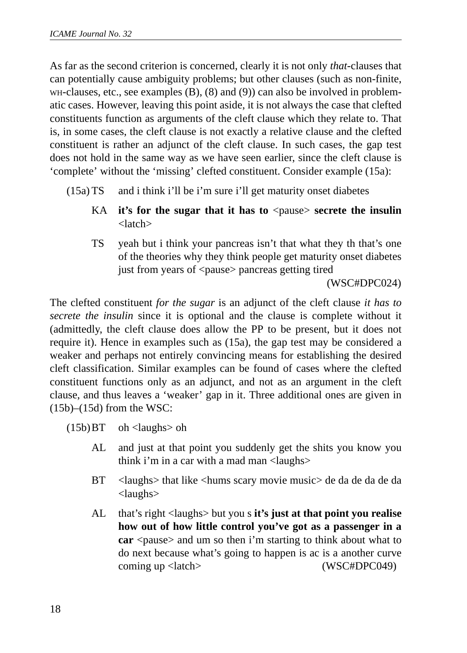As far as the second criterion is concerned, clearly it is not only *that*-clauses that can potentially cause ambiguity problems; but other clauses (such as non-finite,  $w_H$ -clauses, etc., see examples  $(B)$ ,  $(8)$  and  $(9)$ ) can also be involved in problematic cases. However, leaving this point aside, it is not always the case that clefted constituents function as arguments of the cleft clause which they relate to. That is, in some cases, the cleft clause is not exactly a relative clause and the clefted constituent is rather an adjunct of the cleft clause. In such cases, the gap test does not hold in the same way as we have seen earlier, since the cleft clause is 'complete' without the 'missing' clefted constituent. Consider example (15a):

- (15a) TS and i think i'll be i'm sure i'll get maturity onset diabetes
	- KA **it's for the sugar that it has to**  $\langle$  pause  $\rangle$  **secrete the insulin** <latch>
	- TS yeah but i think your pancreas isn't that what they th that's one of the theories why they think people get maturity onset diabetes just from years of <pause> pancreas getting tired

(WSC#DPC024)

The clefted constituent *for the sugar* is an adjunct of the cleft clause *it has to secrete the insulin* since it is optional and the clause is complete without it (admittedly, the cleft clause does allow the PP to be present, but it does not require it). Hence in examples such as (15a), the gap test may be considered a weaker and perhaps not entirely convincing means for establishing the desired cleft classification. Similar examples can be found of cases where the clefted constituent functions only as an adjunct, and not as an argument in the cleft clause, and thus leaves a 'weaker' gap in it. Three additional ones are given in  $(15b)$ – $(15d)$  from the WSC:

 $(15b)BT \toh <$ laughs oh

- AL and just at that point you suddenly get the shits you know you think i'm in a car with a mad man <laughs>
- BT <laughs> that like <hums scary movie music> de da de da de da <laughs>
- AL that's right <laughs> but you s **it's just at that point you realise how out of how little control you've got as a passenger in a car** <pause> and um so then i'm starting to think about what to do next because what's going to happen is ac is a another curve coming up <latch> (WSC#DPC049)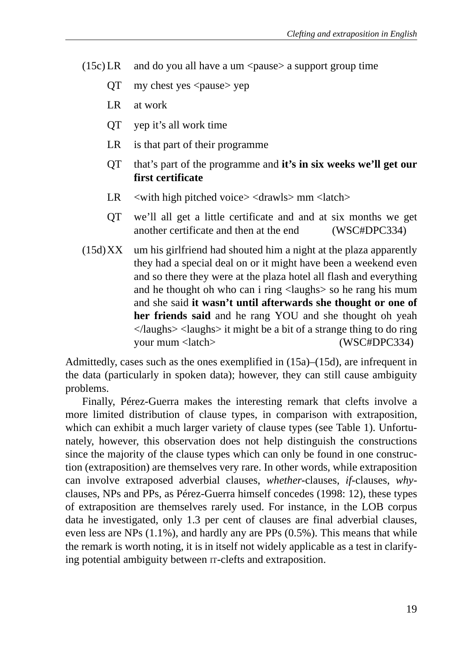- $(15c)$  LR and do you all have a um  $\langle$  pause $\rangle$  a support group time
	- $OT$  my chest yes  $\langle$  pause $\rangle$  yep
	- LR at work
	- QT yep it's all work time
	- LR is that part of their programme
	- QT that's part of the programme and **it's in six weeks we'll get our first certificate**
	- $LR \quad$  <with high pitched voice > <drawls > mm <latch >
	- QT we'll all get a little certificate and and at six months we get another certificate and then at the end (WSC#DPC334)
- $(15d)XX$  um his girlfriend had shouted him a night at the plaza apparently they had a special deal on or it might have been a weekend even and so there they were at the plaza hotel all flash and everything and he thought oh who can i ring <laughs> so he rang his mum and she said **it wasn't until afterwards she thought or one of her friends said** and he rang YOU and she thought oh yeah  $\langle$ laughs $>$   $\langle$ laughs $>$  it might be a bit of a strange thing to do ring your mum <latch> (WSC#DPC334)

Admittedly, cases such as the ones exemplified in  $(15a)$ – $(15d)$ , are infrequent in the data (particularly in spoken data); however, they can still cause ambiguity problems.

Finally, Pérez-Guerra makes the interesting remark that clefts involve a more limited distribution of clause types, in comparison with extraposition, which can exhibit a much larger variety of clause types (see Table 1). Unfortunately, however, this observation does not help distinguish the constructions since the majority of the clause types which can only be found in one construction (extraposition) are themselves very rare. In other words, while extraposition can involve extraposed adverbial clauses, *whether*-clauses, *if*-clauses, *why*clauses, NPs and PPs, as Pérez-Guerra himself concedes (1998: 12), these types of extraposition are themselves rarely used. For instance, in the LOB corpus data he investigated, only 1.3 per cent of clauses are final adverbial clauses, even less are NPs (1.1%), and hardly any are PPs (0.5%). This means that while the remark is worth noting, it is in itself not widely applicable as a test in clarifying potential ambiguity between IT-clefts and extraposition.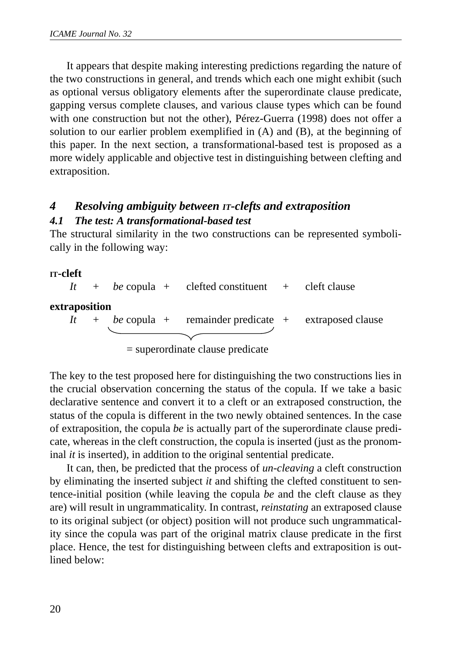It appears that despite making interesting predictions regarding the nature of the two constructions in general, and trends which each one might exhibit (such as optional versus obligatory elements after the superordinate clause predicate, gapping versus complete clauses, and various clause types which can be found with one construction but not the other), Pérez-Guerra (1998) does not offer a solution to our earlier problem exemplified in (A) and (B), at the beginning of this paper. In the next section, a transformational-based test is proposed as a more widely applicable and objective test in distinguishing between clefting and extraposition.

# *4 Resolving ambiguity between IT-clefts and extraposition*

#### *4.1 The test: A transformational-based test*

The structural similarity in the two constructions can be represented symbolically in the following way:

#### **IT-cleft**

*It* + *be* copula + clefted constituent + cleft clause **extraposition** *It* + *be* copula + remainder predicate + extraposed clause

= superordinate clause predicate

The key to the test proposed here for distinguishing the two constructions lies in the crucial observation concerning the status of the copula. If we take a basic declarative sentence and convert it to a cleft or an extraposed construction, the status of the copula is different in the two newly obtained sentences. In the case of extraposition, the copula *be* is actually part of the superordinate clause predicate, whereas in the cleft construction, the copula is inserted (just as the pronominal *it* is inserted), in addition to the original sentential predicate.

It can, then, be predicted that the process of *un-cleaving* a cleft construction by eliminating the inserted subject *it* and shifting the clefted constituent to sentence-initial position (while leaving the copula *be* and the cleft clause as they are) will result in ungrammaticality. In contrast, *reinstating* an extraposed clause to its original subject (or object) position will not produce such ungrammaticality since the copula was part of the original matrix clause predicate in the first place. Hence, the test for distinguishing between clefts and extraposition is outlined below: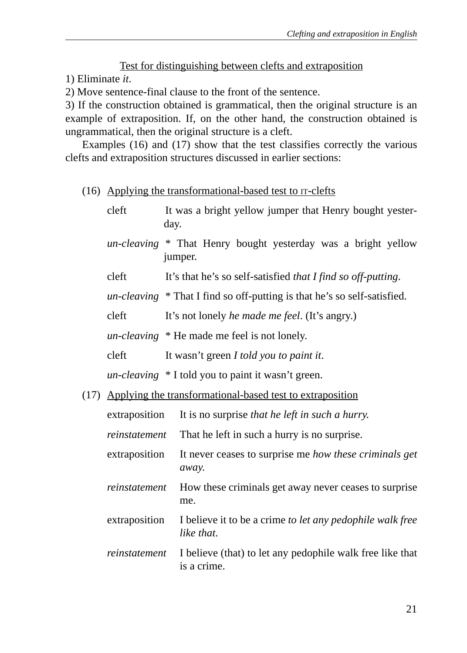#### Test for distinguishing between clefts and extraposition

1) Eliminate *it*.

2) Move sentence-final clause to the front of the sentence.

3) If the construction obtained is grammatical, then the original structure is an example of extraposition. If, on the other hand, the construction obtained is ungrammatical, then the original structure is a cleft.

Examples (16) and (17) show that the test classifies correctly the various clefts and extraposition structures discussed in earlier sections:

#### (16) Applying the transformational-based test to IT-clefts

|      | cleft                                                     | It was a bright yellow jumper that Henry bought yester-<br>day.                   |  |  |  |  |  |  |
|------|-----------------------------------------------------------|-----------------------------------------------------------------------------------|--|--|--|--|--|--|
|      |                                                           | un-cleaving * That Henry bought yesterday was a bright yellow<br>jumper.          |  |  |  |  |  |  |
|      | cleft                                                     | It's that he's so self-satisfied that I find so off-putting.                      |  |  |  |  |  |  |
|      |                                                           | $un\text{-}cleaving * That I find so off-putting is that he's so self-satisfied.$ |  |  |  |  |  |  |
|      | cleft                                                     | It's not lonely he made me feel. (It's angry.)                                    |  |  |  |  |  |  |
|      |                                                           | un-cleaving * He made me feel is not lonely.                                      |  |  |  |  |  |  |
|      | cleft                                                     | It wasn't green I told you to paint it.                                           |  |  |  |  |  |  |
|      |                                                           | <i>un-cleaving</i> * I told you to paint it wasn't green.                         |  |  |  |  |  |  |
| (17) | Applying the transformational-based test to extraposition |                                                                                   |  |  |  |  |  |  |
|      | extraposition                                             | It is no surprise that he left in such a hurry.                                   |  |  |  |  |  |  |
|      | reinstatement                                             | That he left in such a hurry is no surprise.                                      |  |  |  |  |  |  |
|      | extraposition                                             | It never ceases to surprise me how these criminals get<br>away.                   |  |  |  |  |  |  |
|      | reinstatement                                             | How these criminals get away never ceases to surprise<br>me.                      |  |  |  |  |  |  |
|      | extraposition                                             | I believe it to be a crime to let any pedophile walk free<br>like that.           |  |  |  |  |  |  |
|      | reinstatement                                             | I believe (that) to let any pedophile walk free like that<br>is a crime.          |  |  |  |  |  |  |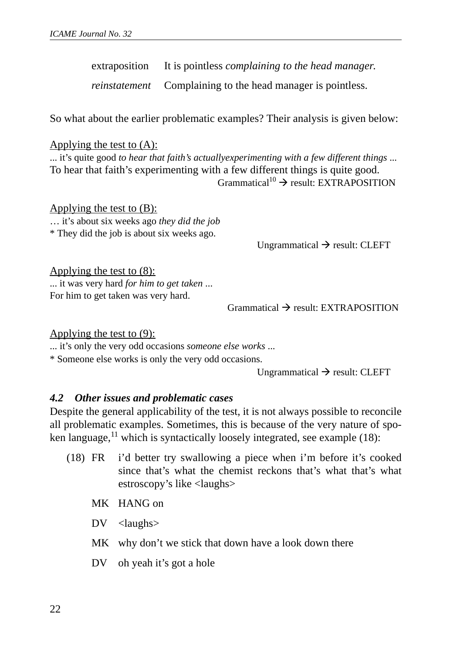extraposition It is pointless *complaining to the head manager*.

*reinstatement* Complaining to the head manager is pointless.

So what about the earlier problematic examples? Their analysis is given below:

#### Applying the test to (A):

... it's quite good *to hear that faith's actuallyexperimenting with a few different things* ... To hear that faith's experimenting with a few different things is quite good.  $Grammatical<sup>10</sup> \rightarrow result: EXTRAPOSTITION$ 

Applying the test to  $(B)$ : … it's about six weeks ago *they did the job* \* They did the job is about six weeks ago.

Ungrammatical  $\rightarrow$  result: CLEFT

Applying the test to (8): ... it was very hard *for him to get taken* ... For him to get taken was very hard.

 $Grammatical \rightarrow result: EXTR APOSITION$ 

Applying the test to  $(9)$ :

... it's only the very odd occasions *someone else works* ...

\* Someone else works is only the very odd occasions.

Ungrammatical  $\rightarrow$  result: CLEFT

#### *4.2 Other issues and problematic cases*

Despite the general applicability of the test, it is not always possible to reconcile all problematic examples. Sometimes, this is because of the very nature of spoken language, $^{11}$  which is syntactically loosely integrated, see example (18):

- (18) FR i'd better try swallowing a piece when i'm before it's cooked since that's what the chemist reckons that's what that's what estroscopy's like <laughs>
	- MK HANG on
	- DV <laughs>
	- MK why don't we stick that down have a look down there
	- DV oh yeah it's got a hole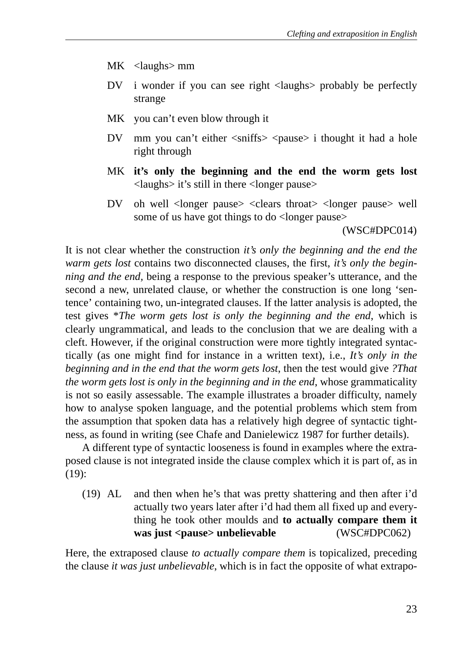- MK <laughs> mm
- DV i wonder if you can see right <laughs> probably be perfectly strange
- MK you can't even blow through it
- DV mm you can't either  $\langle$ sniffs $\rangle$   $\langle$ pause $\rangle$  i thought it had a hole right through
- MK **it's only the beginning and the end the worm gets lost** <laughs> it's still in there <longer pause>
- DV oh well <longer pause> <clears throat> <longer pause> well some of us have got things to do <longer pause>

(WSC#DPC014)

It is not clear whether the construction *it's only the beginning and the end the warm gets lost* contains two disconnected clauses, the first, *it's only the beginning and the end,* being a response to the previous speaker's utterance, and the second a new, unrelated clause, or whether the construction is one long 'sentence' containing two, un-integrated clauses. If the latter analysis is adopted, the test gives \**The worm gets lost is only the beginning and the end*, which is clearly ungrammatical, and leads to the conclusion that we are dealing with a cleft. However, if the original construction were more tightly integrated syntactically (as one might find for instance in a written text), i.e., *It's only in the beginning and in the end that the worm gets lost*, then the test would give *?That the worm gets lost is only in the beginning and in the end*, whose grammaticality is not so easily assessable. The example illustrates a broader difficulty, namely how to analyse spoken language, and the potential problems which stem from the assumption that spoken data has a relatively high degree of syntactic tightness, as found in writing (see Chafe and Danielewicz 1987 for further details).

A different type of syntactic looseness is found in examples where the extraposed clause is not integrated inside the clause complex which it is part of, as in (19):

(19) AL and then when he's that was pretty shattering and then after i'd actually two years later after i'd had them all fixed up and everything he took other moulds and **to actually compare them it was just <pause> unbelievable** (WSC#DPC062)

Here, the extraposed clause *to actually compare them* is topicalized, preceding the clause *it was just unbelievable*, which is in fact the opposite of what extrapo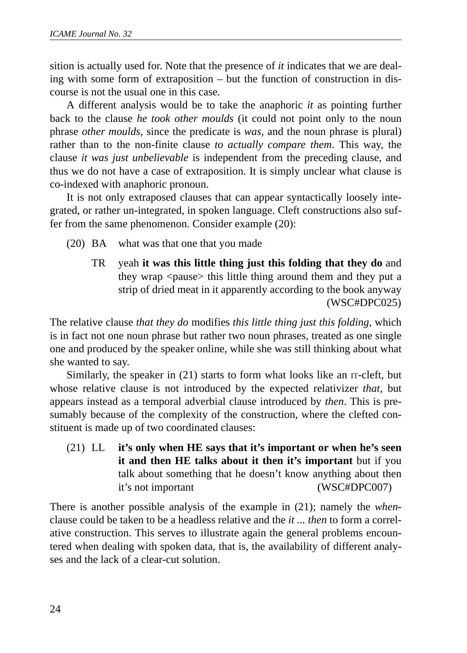sition is actually used for. Note that the presence of *it* indicates that we are dealing with some form of extraposition – but the function of construction in discourse is not the usual one in this case.

A different analysis would be to take the anaphoric *it* as pointing further back to the clause *he took other moulds* (it could not point only to the noun phrase *other moulds*, since the predicate is *was*, and the noun phrase is plural) rather than to the non-finite clause *to actually compare them*. This way, the clause *it was just unbelievable* is independent from the preceding clause, and thus we do not have a case of extraposition. It is simply unclear what clause is co-indexed with anaphoric pronoun.

It is not only extraposed clauses that can appear syntactically loosely integrated, or rather un-integrated, in spoken language. Cleft constructions also suffer from the same phenomenon. Consider example (20):

- (20) BA what was that one that you made
	- TR yeah **it was this little thing just this folding that they do** and they wrap <pause> this little thing around them and they put a strip of dried meat in it apparently according to the book anyway (WSC#DPC025)

The relative clause *that they do* modifies *this little thing just this folding*, which is in fact not one noun phrase but rather two noun phrases, treated as one single one and produced by the speaker online, while she was still thinking about what she wanted to say.

Similarly, the speaker in (21) starts to form what looks like an IT-cleft, but whose relative clause is not introduced by the expected relativizer *that*, but appears instead as a temporal adverbial clause introduced by *then*. This is presumably because of the complexity of the construction, where the clefted constituent is made up of two coordinated clauses:

(21) LL **it's only when HE says that it's important or when he's seen it and then HE talks about it then it's important** but if you talk about something that he doesn't know anything about then it's not important (WSC#DPC007)

There is another possible analysis of the example in (21); namely the *when*clause could be taken to be a headless relative and the *it ... then* to form a correlative construction. This serves to illustrate again the general problems encountered when dealing with spoken data, that is, the availability of different analyses and the lack of a clear-cut solution.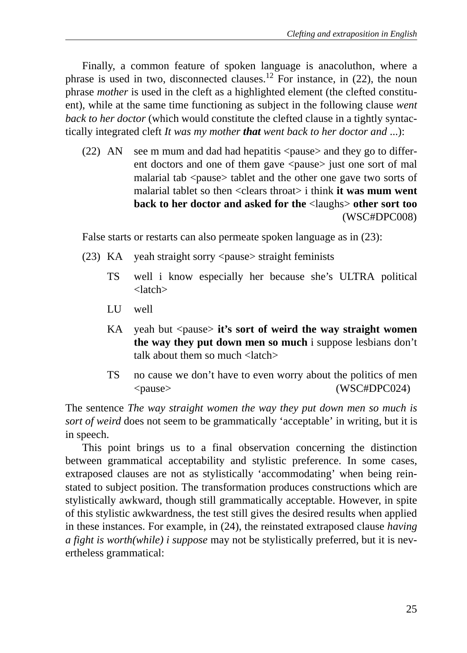Finally, a common feature of spoken language is anacoluthon, where a phrase is used in two, disconnected clauses.<sup>12</sup> For instance, in  $(22)$ , the noun phrase *mother* is used in the cleft as a highlighted element (the clefted constituent), while at the same time functioning as subject in the following clause *went back to her doctor* (which would constitute the clefted clause in a tightly syntactically integrated cleft *It was my mother that went back to her doctor and* ...):

(22) AN see m mum and dad had hepatitis  $\langle$  pause $\rangle$  and they go to different doctors and one of them gave <pause> just one sort of mal malarial tab <pause> tablet and the other one gave two sorts of malarial tablet so then <clears throat> i think **it was mum went back to her doctor and asked for the** <laughs> **other sort too** (WSC#DPC008)

False starts or restarts can also permeate spoken language as in (23):

- (23) KA yeah straight sorry <pause> straight feminists
	- TS well i know especially her because she's ULTRA political <latch>
	- LU well
	- KA yeah but <pause> **it's sort of weird the way straight women the way they put down men so much** i suppose lesbians don't talk about them so much <latch>
	- TS no cause we don't have to even worry about the politics of men <pause> (WSC#DPC024)

The sentence *The way straight women the way they put down men so much is sort of weird* does not seem to be grammatically 'acceptable' in writing, but it is in speech.

This point brings us to a final observation concerning the distinction between grammatical acceptability and stylistic preference. In some cases, extraposed clauses are not as stylistically 'accommodating' when being reinstated to subject position. The transformation produces constructions which are stylistically awkward, though still grammatically acceptable. However, in spite of this stylistic awkwardness, the test still gives the desired results when applied in these instances. For example, in (24), the reinstated extraposed clause *having a fight is worth(while) i suppose* may not be stylistically preferred, but it is nevertheless grammatical: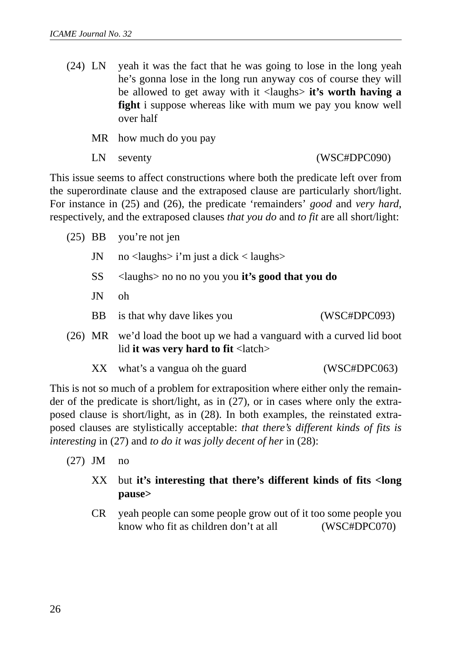(24) LN yeah it was the fact that he was going to lose in the long yeah he's gonna lose in the long run anyway cos of course they will be allowed to get away with it <laughs> **it's worth having a fight** i suppose whereas like with mum we pay you know well over half

MR how much do you pay

LN seventy (WSC#DPC090)

This issue seems to affect constructions where both the predicate left over from the superordinate clause and the extraposed clause are particularly short/light. For instance in (25) and (26), the predicate 'remainders' *good* and *very hard*, respectively, and the extraposed clauses *that you do* and *to fit* are all short/light:

|     | $(25)$ BB you're not jen                                                                 |              |
|-----|------------------------------------------------------------------------------------------|--------------|
| JN  | no $\langle$ laughs $>$ i'm just a dick $\langle$ laughs $>$                             |              |
| SS  | $\langle$ laughs> no no no you you <b>it's good that you do</b>                          |              |
| JN  | oh                                                                                       |              |
| BB. | is that why dave likes you                                                               | (WSC#DPC093) |
|     | (26) MR we'd load the boot up we had a vanguard with a curved lid boot<br>$\blacksquare$ |              |

- lid **it was very hard to fit** <latch>
	- XX what's a vangua oh the guard (WSC#DPC063)

This is not so much of a problem for extraposition where either only the remainder of the predicate is short/light, as in (27), or in cases where only the extraposed clause is short/light, as in (28). In both examples, the reinstated extraposed clauses are stylistically acceptable: *that there's different kinds of fits is interesting* in (27) and *to do it was jolly decent of her* in (28):

(27) JM no

## XX but **it's interesting that there's different kinds of fits <long pause>**

CR yeah people can some people grow out of it too some people you know who fit as children don't at all (WSC#DPC070)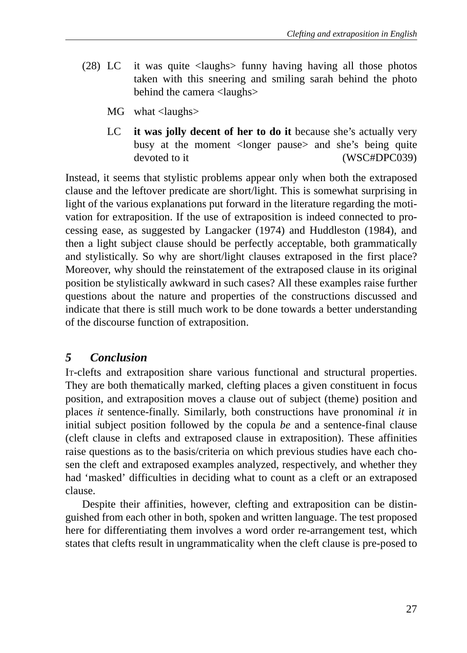- (28) LC it was quite <laughs> funny having having all those photos taken with this sneering and smiling sarah behind the photo behind the camera <laughs>
	- MG what <laughs>
	- LC **it was jolly decent of her to do it** because she's actually very busy at the moment <longer pause> and she's being quite devoted to it (WSC#DPC039)

Instead, it seems that stylistic problems appear only when both the extraposed clause and the leftover predicate are short/light. This is somewhat surprising in light of the various explanations put forward in the literature regarding the motivation for extraposition. If the use of extraposition is indeed connected to processing ease, as suggested by Langacker (1974) and Huddleston (1984), and then a light subject clause should be perfectly acceptable, both grammatically and stylistically. So why are short/light clauses extraposed in the first place? Moreover, why should the reinstatement of the extraposed clause in its original position be stylistically awkward in such cases? All these examples raise further questions about the nature and properties of the constructions discussed and indicate that there is still much work to be done towards a better understanding of the discourse function of extraposition.

## *5 Conclusion*

IT-clefts and extraposition share various functional and structural properties. They are both thematically marked, clefting places a given constituent in focus position, and extraposition moves a clause out of subject (theme) position and places *it* sentence-finally. Similarly, both constructions have pronominal *it* in initial subject position followed by the copula *be* and a sentence-final clause (cleft clause in clefts and extraposed clause in extraposition). These affinities raise questions as to the basis/criteria on which previous studies have each chosen the cleft and extraposed examples analyzed, respectively, and whether they had 'masked' difficulties in deciding what to count as a cleft or an extraposed clause.

Despite their affinities, however, clefting and extraposition can be distinguished from each other in both, spoken and written language. The test proposed here for differentiating them involves a word order re-arrangement test, which states that clefts result in ungrammaticality when the cleft clause is pre-posed to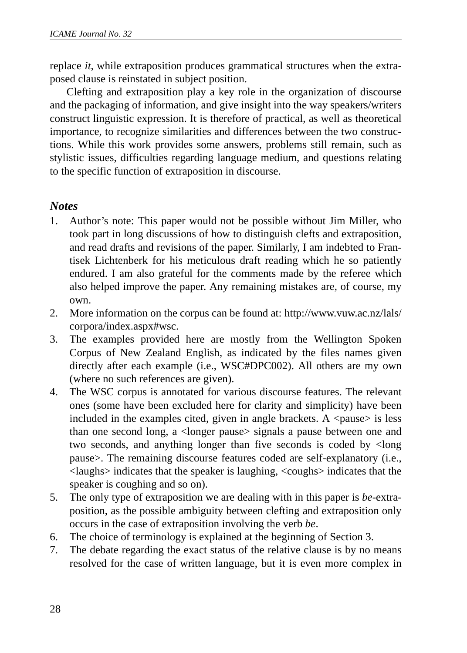replace *it*, while extraposition produces grammatical structures when the extraposed clause is reinstated in subject position.

Clefting and extraposition play a key role in the organization of discourse and the packaging of information, and give insight into the way speakers/writers construct linguistic expression. It is therefore of practical, as well as theoretical importance, to recognize similarities and differences between the two constructions. While this work provides some answers, problems still remain, such as stylistic issues, difficulties regarding language medium, and questions relating to the specific function of extraposition in discourse.

## *Notes*

- 1. Author's note: This paper would not be possible without Jim Miller, who took part in long discussions of how to distinguish clefts and extraposition, and read drafts and revisions of the paper. Similarly, I am indebted to Frantisek Lichtenberk for his meticulous draft reading which he so patiently endured. I am also grateful for the comments made by the referee which also helped improve the paper. Any remaining mistakes are, of course, my own.
- 2. More information on the corpus can be found at: http://www.vuw.ac.nz/lals/ corpora/index.aspx#wsc.
- 3. The examples provided here are mostly from the Wellington Spoken Corpus of New Zealand English, as indicated by the files names given directly after each example (i.e., WSC#DPC002). All others are my own (where no such references are given).
- 4. The WSC corpus is annotated for various discourse features. The relevant ones (some have been excluded here for clarity and simplicity) have been included in the examples cited, given in angle brackets. A  $\langle$  pause $>$  is less than one second long, a <longer pause> signals a pause between one and two seconds, and anything longer than five seconds is coded by <long pause>. The remaining discourse features coded are self-explanatory (i.e., <laughs> indicates that the speaker is laughing, <coughs> indicates that the speaker is coughing and so on).
- 5. The only type of extraposition we are dealing with in this paper is *be*-extraposition, as the possible ambiguity between clefting and extraposition only occurs in the case of extraposition involving the verb *be*.
- 6. The choice of terminology is explained at the beginning of Section 3.
- 7. The debate regarding the exact status of the relative clause is by no means resolved for the case of written language, but it is even more complex in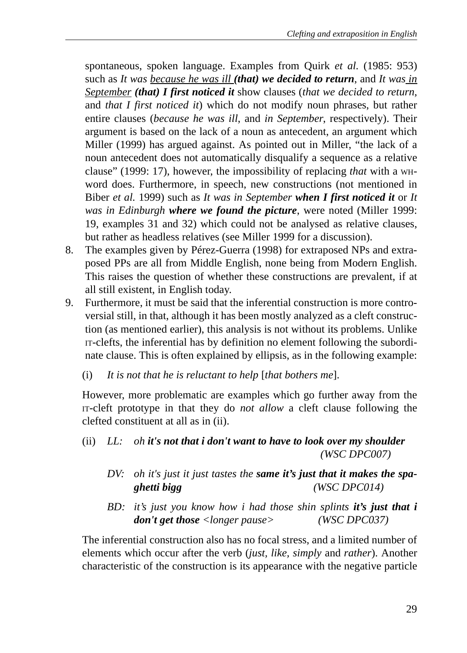spontaneous, spoken language. Examples from Quirk *et al.* (1985: 953) such as *It was because he was ill (that) we decided to return*, and *It was in September (that) I first noticed it* show clauses (*that we decided to return*, and *that I first noticed it*) which do not modify noun phrases, but rather entire clauses (*because he was ill*, and *in September*, respectively). Their argument is based on the lack of a noun as antecedent, an argument which Miller (1999) has argued against. As pointed out in Miller, "the lack of a noun antecedent does not automatically disqualify a sequence as a relative clause" (1999: 17), however, the impossibility of replacing *that* with a WHword does. Furthermore, in speech, new constructions (not mentioned in Biber *et al.* 1999) such as *It was in September when I first noticed it* or *It was in Edinburgh where we found the picture*, were noted (Miller 1999: 19, examples 31 and 32) which could not be analysed as relative clauses, but rather as headless relatives (see Miller 1999 for a discussion).

- 8. The examples given by Pérez-Guerra (1998) for extraposed NPs and extraposed PPs are all from Middle English, none being from Modern English. This raises the question of whether these constructions are prevalent, if at all still existent, in English today.
- 9. Furthermore, it must be said that the inferential construction is more controversial still, in that, although it has been mostly analyzed as a cleft construction (as mentioned earlier), this analysis is not without its problems. Unlike IT-clefts, the inferential has by definition no element following the subordinate clause. This is often explained by ellipsis, as in the following example:
	- (i) *It is not that he is reluctant to help* [*that bothers me*].

However, more problematic are examples which go further away from the IT-cleft prototype in that they do *not allow* a cleft clause following the clefted constituent at all as in (ii).

- (ii) *LL: oh it's not that i don't want to have to look over my shoulder (WSC DPC007)*
	- *DV: oh it's just it just tastes the same it's just that it makes the spaghetti bigg (WSC DPC014)*
	- *BD: it's just you know how i had those shin splints it's just that i don't get those <longer pause> (WSC DPC037)*

The inferential construction also has no focal stress, and a limited number of elements which occur after the verb (*just, like, simply* and *rather*). Another characteristic of the construction is its appearance with the negative particle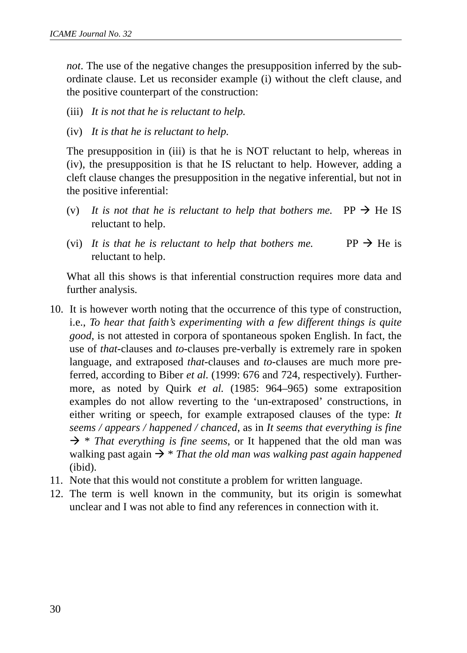*not*. The use of the negative changes the presupposition inferred by the subordinate clause. Let us reconsider example (i) without the cleft clause, and the positive counterpart of the construction:

- (iii) *It is not that he is reluctant to help.*
- (iv) *It is that he is reluctant to help.*

The presupposition in (iii) is that he is NOT reluctant to help, whereas in (iv), the presupposition is that he IS reluctant to help. However, adding a cleft clause changes the presupposition in the negative inferential, but not in the positive inferential:

- (v) It is not that he is reluctant to help that bothers me. PP  $\rightarrow$  He IS reluctant to help.
- (vi) It is that he is reluctant to help that bothers me. PP  $\rightarrow$  He is reluctant to help.

What all this shows is that inferential construction requires more data and further analysis.

- 10. It is however worth noting that the occurrence of this type of construction, i.e., *To hear that faith's experimenting with a few different things is quite good*, is not attested in corpora of spontaneous spoken English. In fact, the use of *that*-clauses and *to*-clauses pre-verbally is extremely rare in spoken language, and extraposed *that*-clauses and *to*-clauses are much more preferred, according to Biber *et al.* (1999: 676 and 724, respectively). Furthermore, as noted by Quirk *et al.* (1985: 964–965) some extraposition examples do not allow reverting to the 'un-extraposed' constructions, in either writing or speech, for example extraposed clauses of the type: *It seems / appears / happened / chanced*, as in *It seems that everything is fine*  $\rightarrow$  \* *That everything is fine seems*, or It happened that the old man was walking past again  $\rightarrow$  *\* That the old man was walking past again happened* (ibid).
- 11. Note that this would not constitute a problem for written language.
- 12. The term is well known in the community, but its origin is somewhat unclear and I was not able to find any references in connection with it.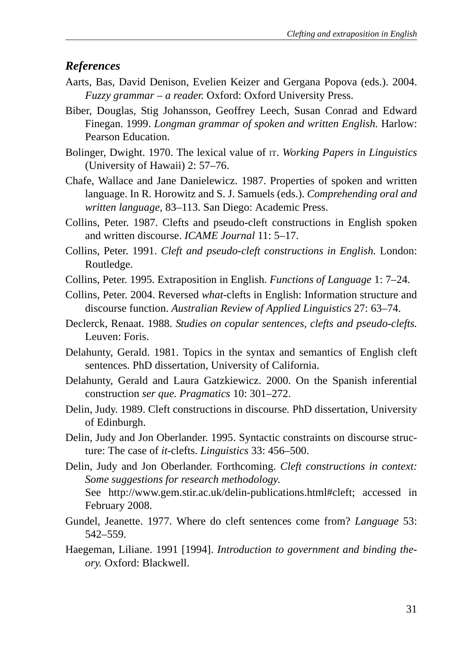#### *References*

- Aarts, Bas, David Denison, Evelien Keizer and Gergana Popova (eds.). 2004. *Fuzzy grammar – a reader.* Oxford: Oxford University Press.
- Biber, Douglas, Stig Johansson, Geoffrey Leech, Susan Conrad and Edward Finegan. 1999. *Longman grammar of spoken and written English.* Harlow: Pearson Education.
- Bolinger, Dwight. 1970. The lexical value of IT. *Working Papers in Linguistics* (University of Hawaii) 2: 57*–*76.
- Chafe, Wallace and Jane Danielewicz. 1987. Properties of spoken and written language. In R. Horowitz and S. J. Samuels (eds.). *Comprehending oral and written language,* 83*–*113. San Diego: Academic Press.
- Collins, Peter. 1987. Clefts and pseudo-cleft constructions in English spoken and written discourse. *ICAME Journal* 11: 5*–*17.
- Collins, Peter. 1991. *Cleft and pseudo-cleft constructions in English.* London: Routledge.
- Collins, Peter. 1995. Extraposition in English. *Functions of Language* 1: 7*–*24.
- Collins, Peter. 2004. Reversed *what*-clefts in English: Information structure and discourse function. *Australian Review of Applied Linguistics* 27: 63*–*74.
- Declerck, Renaat. 1988. *Studies on copular sentences, clefts and pseudo-clefts.* Leuven: Foris.
- Delahunty, Gerald. 1981. Topics in the syntax and semantics of English cleft sentences*.* PhD dissertation, University of California.
- Delahunty, Gerald and Laura Gatzkiewicz. 2000. On the Spanish inferential construction *ser que. Pragmatics* 10: 301*–*272.
- Delin, Judy. 1989. Cleft constructions in discourse*.* PhD dissertation, University of Edinburgh.
- Delin, Judy and Jon Oberlander. 1995. Syntactic constraints on discourse structure: The case of *it*-clefts. *Linguistics* 33: 456*–*500.
- Delin, Judy and Jon Oberlander. Forthcoming. *Cleft constructions in context: Some suggestions for research methodology*. See http://www.gem.stir.ac.uk/delin-publications.html#cleft; accessed in February 2008.
- Gundel, Jeanette. 1977. Where do cleft sentences come from? *Language* 53: 542*–*559.
- Haegeman, Liliane. 1991 [1994]. *Introduction to government and binding theory.* Oxford: Blackwell.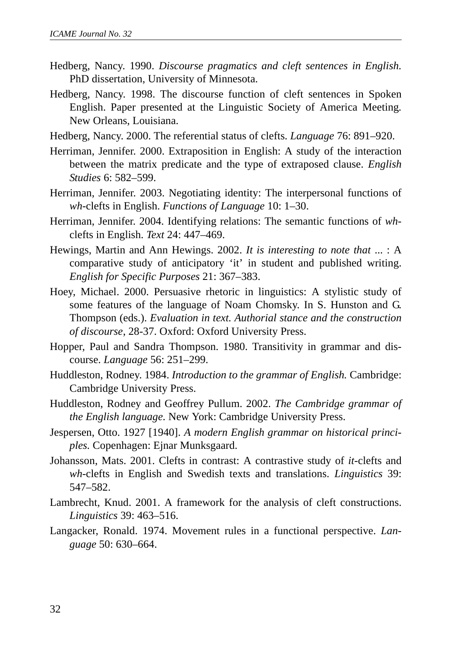- Hedberg, Nancy. 1990. *Discourse pragmatics and cleft sentences in English.* PhD dissertation, University of Minnesota.
- Hedberg, Nancy. 1998. The discourse function of cleft sentences in Spoken English. Paper presented at the Linguistic Society of America Meeting*.* New Orleans, Louisiana.
- Hedberg, Nancy. 2000. The referential status of clefts. *Language* 76: 891*–*920.
- Herriman, Jennifer. 2000. Extraposition in English: A study of the interaction between the matrix predicate and the type of extraposed clause. *English Studies* 6: 582*–*599.
- Herriman, Jennifer. 2003. Negotiating identity: The interpersonal functions of *wh*-clefts in English. *Functions of Language* 10: 1*–*30.
- Herriman, Jennifer. 2004. Identifying relations: The semantic functions of *wh*clefts in English. *Text* 24: 447*–*469.
- Hewings, Martin and Ann Hewings. 2002. *It is interesting to note that* ... : A comparative study of anticipatory 'it' in student and published writing. *English for Specific Purposes* 21: 367*–*383.
- Hoey, Michael. 2000. Persuasive rhetoric in linguistics: A stylistic study of some features of the language of Noam Chomsky. In S. Hunston and G. Thompson (eds.). *Evaluation in text. Authorial stance and the construction of discourse*, 28-37. Oxford: Oxford University Press.
- Hopper, Paul and Sandra Thompson. 1980. Transitivity in grammar and discourse. *Language* 56: 251*–*299.
- Huddleston, Rodney. 1984. *Introduction to the grammar of English.* Cambridge: Cambridge University Press.
- Huddleston, Rodney and Geoffrey Pullum. 2002. *The Cambridge grammar of the English language.* New York: Cambridge University Press.
- Jespersen, Otto. 1927 [1940]. *A modern English grammar on historical principles.* Copenhagen: Ejnar Munksgaard.
- Johansson, Mats. 2001. Clefts in contrast: A contrastive study of *it*-clefts and *wh*-clefts in English and Swedish texts and translations. *Linguistics* 39: 547*–*582.
- Lambrecht, Knud. 2001. A framework for the analysis of cleft constructions. *Linguistics* 39: 463*–*516.
- Langacker, Ronald. 1974. Movement rules in a functional perspective. *Language* 50: 630*–*664.